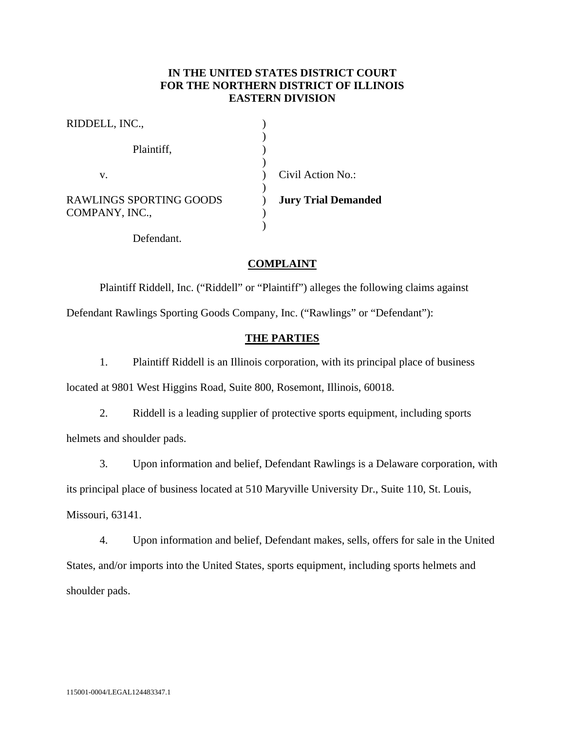# **IN THE UNITED STATES DISTRICT COURT FOR THE NORTHERN DISTRICT OF ILLINOIS EASTERN DIVISION**

| RIDDELL, INC.,                                   |                            |
|--------------------------------------------------|----------------------------|
| Plaintiff,                                       |                            |
| v.                                               | Civil Action No.:          |
| <b>RAWLINGS SPORTING GOODS</b><br>COMPANY, INC., | <b>Jury Trial Demanded</b> |
| Defendant.                                       |                            |

# **COMPLAINT**

Plaintiff Riddell, Inc. ("Riddell" or "Plaintiff") alleges the following claims against Defendant Rawlings Sporting Goods Company, Inc. ("Rawlings" or "Defendant"):

### **THE PARTIES**

1. Plaintiff Riddell is an Illinois corporation, with its principal place of business

located at 9801 West Higgins Road, Suite 800, Rosemont, Illinois, 60018.

2. Riddell is a leading supplier of protective sports equipment, including sports helmets and shoulder pads.

3. Upon information and belief, Defendant Rawlings is a Delaware corporation, with

its principal place of business located at 510 Maryville University Dr., Suite 110, St. Louis,

Missouri, 63141.

4. Upon information and belief, Defendant makes, sells, offers for sale in the United States, and/or imports into the United States, sports equipment, including sports helmets and shoulder pads.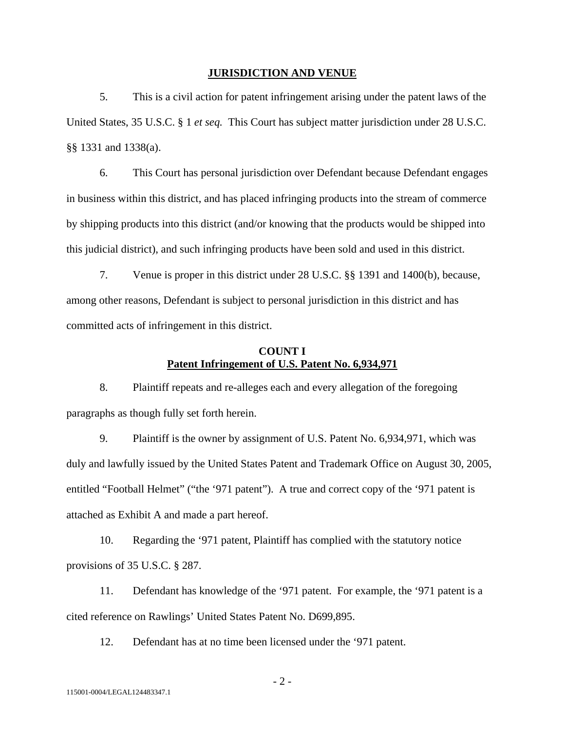#### **JURISDICTION AND VENUE**

5. This is a civil action for patent infringement arising under the patent laws of the United States, 35 U.S.C. § 1 *et seq.* This Court has subject matter jurisdiction under 28 U.S.C. §§ 1331 and 1338(a).

6. This Court has personal jurisdiction over Defendant because Defendant engages in business within this district, and has placed infringing products into the stream of commerce by shipping products into this district (and/or knowing that the products would be shipped into this judicial district), and such infringing products have been sold and used in this district.

7. Venue is proper in this district under 28 U.S.C. §§ 1391 and 1400(b), because, among other reasons, Defendant is subject to personal jurisdiction in this district and has committed acts of infringement in this district.

# **COUNT I Patent Infringement of U.S. Patent No. 6,934,971**

8. Plaintiff repeats and re-alleges each and every allegation of the foregoing paragraphs as though fully set forth herein.

9. Plaintiff is the owner by assignment of U.S. Patent No. 6,934,971, which was duly and lawfully issued by the United States Patent and Trademark Office on August 30, 2005, entitled "Football Helmet" ("the '971 patent"). A true and correct copy of the '971 patent is attached as Exhibit A and made a part hereof.

10. Regarding the '971 patent, Plaintiff has complied with the statutory notice provisions of 35 U.S.C. § 287.

11. Defendant has knowledge of the '971 patent. For example, the '971 patent is a cited reference on Rawlings' United States Patent No. D699,895.

12. Defendant has at no time been licensed under the '971 patent.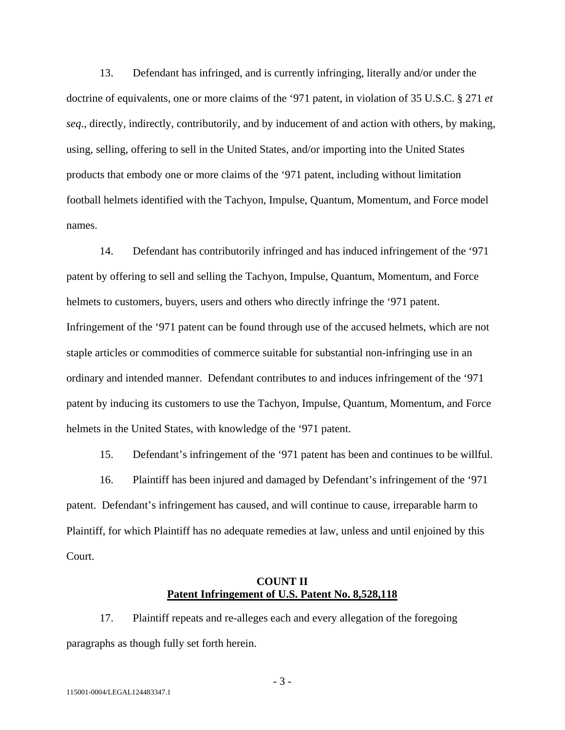13. Defendant has infringed, and is currently infringing, literally and/or under the doctrine of equivalents, one or more claims of the '971 patent, in violation of 35 U.S.C. § 271 *et seq*., directly, indirectly, contributorily, and by inducement of and action with others, by making, using, selling, offering to sell in the United States, and/or importing into the United States products that embody one or more claims of the '971 patent, including without limitation football helmets identified with the Tachyon, Impulse, Quantum, Momentum, and Force model names.

14. Defendant has contributorily infringed and has induced infringement of the '971 patent by offering to sell and selling the Tachyon, Impulse, Quantum, Momentum, and Force helmets to customers, buyers, users and others who directly infringe the '971 patent. Infringement of the '971 patent can be found through use of the accused helmets, which are not staple articles or commodities of commerce suitable for substantial non-infringing use in an ordinary and intended manner. Defendant contributes to and induces infringement of the '971 patent by inducing its customers to use the Tachyon, Impulse, Quantum, Momentum, and Force helmets in the United States, with knowledge of the '971 patent.

15. Defendant's infringement of the '971 patent has been and continues to be willful.

16. Plaintiff has been injured and damaged by Defendant's infringement of the '971 patent. Defendant's infringement has caused, and will continue to cause, irreparable harm to Plaintiff, for which Plaintiff has no adequate remedies at law, unless and until enjoined by this Court.

### **COUNT II Patent Infringement of U.S. Patent No. 8,528,118**

17. Plaintiff repeats and re-alleges each and every allegation of the foregoing paragraphs as though fully set forth herein.

- 3 -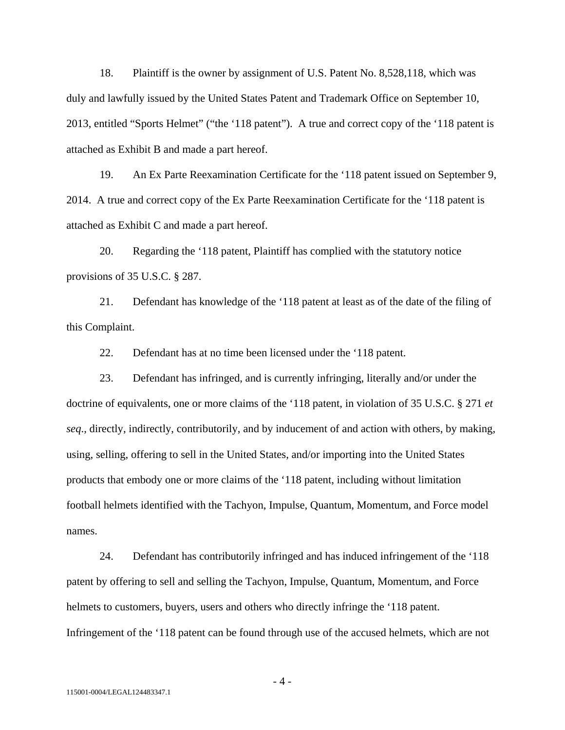18. Plaintiff is the owner by assignment of U.S. Patent No. 8,528,118, which was duly and lawfully issued by the United States Patent and Trademark Office on September 10, 2013, entitled "Sports Helmet" ("the '118 patent"). A true and correct copy of the '118 patent is attached as Exhibit B and made a part hereof.

19. An Ex Parte Reexamination Certificate for the '118 patent issued on September 9, 2014. A true and correct copy of the Ex Parte Reexamination Certificate for the '118 patent is attached as Exhibit C and made a part hereof.

20. Regarding the '118 patent, Plaintiff has complied with the statutory notice provisions of 35 U.S.C. § 287.

21. Defendant has knowledge of the '118 patent at least as of the date of the filing of this Complaint.

22. Defendant has at no time been licensed under the '118 patent.

23. Defendant has infringed, and is currently infringing, literally and/or under the doctrine of equivalents, one or more claims of the '118 patent, in violation of 35 U.S.C. § 271 *et seq*., directly, indirectly, contributorily, and by inducement of and action with others, by making, using, selling, offering to sell in the United States, and/or importing into the United States products that embody one or more claims of the '118 patent, including without limitation football helmets identified with the Tachyon, Impulse, Quantum, Momentum, and Force model names.

24. Defendant has contributorily infringed and has induced infringement of the '118 patent by offering to sell and selling the Tachyon, Impulse, Quantum, Momentum, and Force helmets to customers, buyers, users and others who directly infringe the '118 patent. Infringement of the '118 patent can be found through use of the accused helmets, which are not

 $-4-$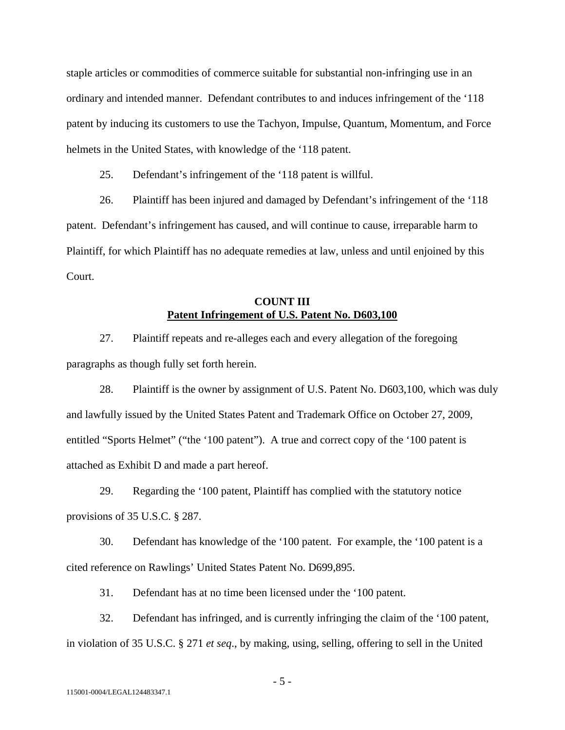staple articles or commodities of commerce suitable for substantial non-infringing use in an ordinary and intended manner. Defendant contributes to and induces infringement of the '118 patent by inducing its customers to use the Tachyon, Impulse, Quantum, Momentum, and Force helmets in the United States, with knowledge of the '118 patent.

25. Defendant's infringement of the '118 patent is willful.

26. Plaintiff has been injured and damaged by Defendant's infringement of the '118 patent. Defendant's infringement has caused, and will continue to cause, irreparable harm to Plaintiff, for which Plaintiff has no adequate remedies at law, unless and until enjoined by this Court.

### **COUNT III Patent Infringement of U.S. Patent No. D603,100**

27. Plaintiff repeats and re-alleges each and every allegation of the foregoing paragraphs as though fully set forth herein.

28. Plaintiff is the owner by assignment of U.S. Patent No. D603,100, which was duly and lawfully issued by the United States Patent and Trademark Office on October 27, 2009, entitled "Sports Helmet" ("the '100 patent"). A true and correct copy of the '100 patent is attached as Exhibit D and made a part hereof.

29. Regarding the '100 patent, Plaintiff has complied with the statutory notice provisions of 35 U.S.C. § 287.

30. Defendant has knowledge of the '100 patent. For example, the '100 patent is a cited reference on Rawlings' United States Patent No. D699,895.

31. Defendant has at no time been licensed under the '100 patent.

32. Defendant has infringed, and is currently infringing the claim of the '100 patent, in violation of 35 U.S.C. § 271 *et seq*., by making, using, selling, offering to sell in the United

 $-5 -$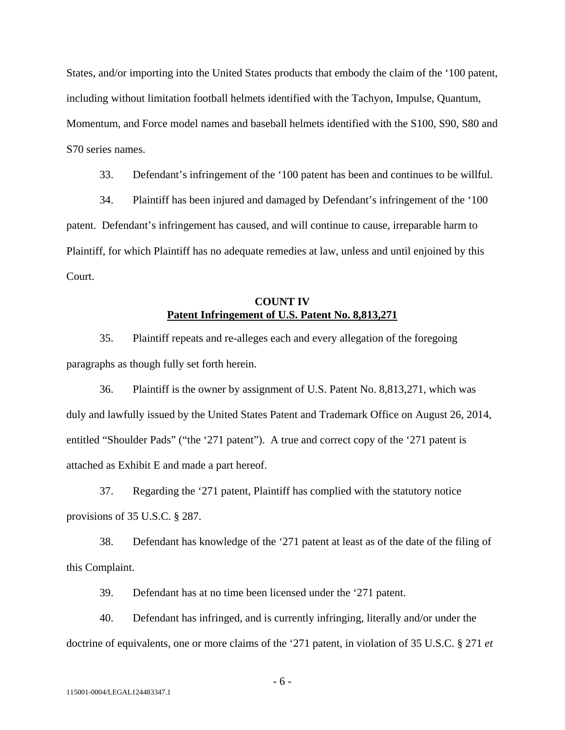States, and/or importing into the United States products that embody the claim of the '100 patent, including without limitation football helmets identified with the Tachyon, Impulse, Quantum, Momentum, and Force model names and baseball helmets identified with the S100, S90, S80 and S70 series names.

33. Defendant's infringement of the '100 patent has been and continues to be willful.

34. Plaintiff has been injured and damaged by Defendant's infringement of the '100 patent. Defendant's infringement has caused, and will continue to cause, irreparable harm to Plaintiff, for which Plaintiff has no adequate remedies at law, unless and until enjoined by this Court.

### **COUNT IV Patent Infringement of U.S. Patent No. 8,813,271**

35. Plaintiff repeats and re-alleges each and every allegation of the foregoing paragraphs as though fully set forth herein.

36. Plaintiff is the owner by assignment of U.S. Patent No. 8,813,271, which was duly and lawfully issued by the United States Patent and Trademark Office on August 26, 2014, entitled "Shoulder Pads" ("the '271 patent"). A true and correct copy of the '271 patent is attached as Exhibit E and made a part hereof.

37. Regarding the '271 patent, Plaintiff has complied with the statutory notice provisions of 35 U.S.C. § 287.

38. Defendant has knowledge of the '271 patent at least as of the date of the filing of this Complaint.

39. Defendant has at no time been licensed under the '271 patent.

40. Defendant has infringed, and is currently infringing, literally and/or under the doctrine of equivalents, one or more claims of the '271 patent, in violation of 35 U.S.C. § 271 *et* 

- 6 -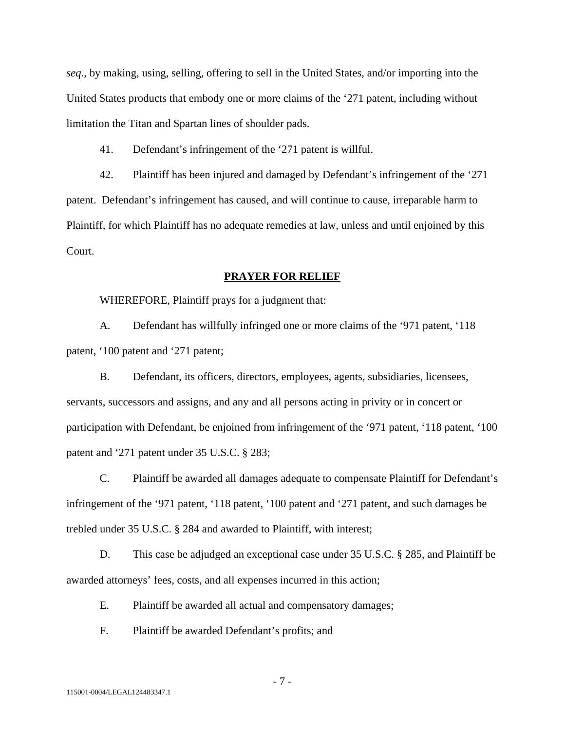*seq*., by making, using, selling, offering to sell in the United States, and/or importing into the United States products that embody one or more claims of the '271 patent, including without limitation the Titan and Spartan lines of shoulder pads.

41. Defendant's infringement of the '271 patent is willful.

42. Plaintiff has been injured and damaged by Defendant's infringement of the '271 patent. Defendant's infringement has caused, and will continue to cause, irreparable harm to Plaintiff, for which Plaintiff has no adequate remedies at law, unless and until enjoined by this Court.

#### **PRAYER FOR RELIEF**

WHEREFORE, Plaintiff prays for a judgment that:

A. Defendant has willfully infringed one or more claims of the '971 patent, '118 patent, '100 patent and '271 patent;

B. Defendant, its officers, directors, employees, agents, subsidiaries, licensees, servants, successors and assigns, and any and all persons acting in privity or in concert or participation with Defendant, be enjoined from infringement of the '971 patent, '118 patent, '100 patent and '271 patent under 35 U.S.C. § 283;

C. Plaintiff be awarded all damages adequate to compensate Plaintiff for Defendant's infringement of the '971 patent, '118 patent, '100 patent and '271 patent, and such damages be trebled under 35 U.S.C. § 284 and awarded to Plaintiff, with interest;

D. This case be adjudged an exceptional case under 35 U.S.C. § 285, and Plaintiff be awarded attorneys' fees, costs, and all expenses incurred in this action;

E. Plaintiff be awarded all actual and compensatory damages;

F. Plaintiff be awarded Defendant's profits; and